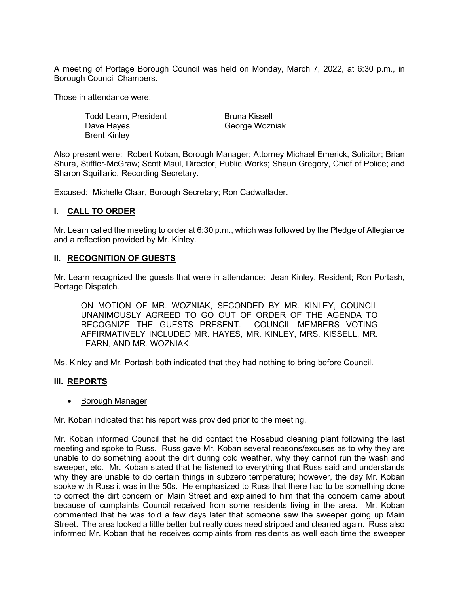A meeting of Portage Borough Council was held on Monday, March 7, 2022, at 6:30 p.m., in Borough Council Chambers.

Those in attendance were:

Todd Learn, President Dave Hayes Brent Kinley

Bruna Kissell George Wozniak

Also present were: Robert Koban, Borough Manager; Attorney Michael Emerick, Solicitor; Brian Shura, Stiffler-McGraw; Scott Maul, Director, Public Works; Shaun Gregory, Chief of Police; and Sharon Squillario, Recording Secretary.

Excused: Michelle Claar, Borough Secretary; Ron Cadwallader.

## **I. CALL TO ORDER**

Mr. Learn called the meeting to order at 6:30 p.m., which was followed by the Pledge of Allegiance and a reflection provided by Mr. Kinley.

### **II. RECOGNITION OF GUESTS**

Mr. Learn recognized the guests that were in attendance: Jean Kinley, Resident; Ron Portash, Portage Dispatch.

ON MOTION OF MR. WOZNIAK, SECONDED BY MR. KINLEY, COUNCIL UNANIMOUSLY AGREED TO GO OUT OF ORDER OF THE AGENDA TO RECOGNIZE THE GUESTS PRESENT. COUNCIL MEMBERS VOTING AFFIRMATIVELY INCLUDED MR. HAYES, MR. KINLEY, MRS. KISSELL, MR. LEARN, AND MR. WOZNIAK.

Ms. Kinley and Mr. Portash both indicated that they had nothing to bring before Council.

#### **III. REPORTS**

#### • Borough Manager

Mr. Koban indicated that his report was provided prior to the meeting.

Mr. Koban informed Council that he did contact the Rosebud cleaning plant following the last meeting and spoke to Russ. Russ gave Mr. Koban several reasons/excuses as to why they are unable to do something about the dirt during cold weather, why they cannot run the wash and sweeper, etc. Mr. Koban stated that he listened to everything that Russ said and understands why they are unable to do certain things in subzero temperature; however, the day Mr. Koban spoke with Russ it was in the 50s. He emphasized to Russ that there had to be something done to correct the dirt concern on Main Street and explained to him that the concern came about because of complaints Council received from some residents living in the area. Mr. Koban commented that he was told a few days later that someone saw the sweeper going up Main Street. The area looked a little better but really does need stripped and cleaned again. Russ also informed Mr. Koban that he receives complaints from residents as well each time the sweeper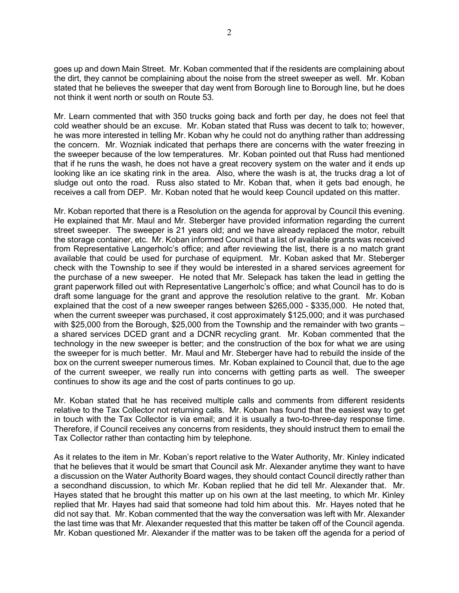goes up and down Main Street. Mr. Koban commented that if the residents are complaining about the dirt, they cannot be complaining about the noise from the street sweeper as well. Mr. Koban stated that he believes the sweeper that day went from Borough line to Borough line, but he does not think it went north or south on Route 53.

Mr. Learn commented that with 350 trucks going back and forth per day, he does not feel that cold weather should be an excuse. Mr. Koban stated that Russ was decent to talk to; however, he was more interested in telling Mr. Koban why he could not do anything rather than addressing the concern. Mr. Wozniak indicated that perhaps there are concerns with the water freezing in the sweeper because of the low temperatures. Mr. Koban pointed out that Russ had mentioned that if he runs the wash, he does not have a great recovery system on the water and it ends up looking like an ice skating rink in the area. Also, where the wash is at, the trucks drag a lot of sludge out onto the road. Russ also stated to Mr. Koban that, when it gets bad enough, he receives a call from DEP. Mr. Koban noted that he would keep Council updated on this matter.

Mr. Koban reported that there is a Resolution on the agenda for approval by Council this evening. He explained that Mr. Maul and Mr. Steberger have provided information regarding the current street sweeper. The sweeper is 21 years old; and we have already replaced the motor, rebuilt the storage container, etc. Mr. Koban informed Council that a list of available grants was received from Representative Langerholc's office; and after reviewing the list, there is a no match grant available that could be used for purchase of equipment. Mr. Koban asked that Mr. Steberger check with the Township to see if they would be interested in a shared services agreement for the purchase of a new sweeper. He noted that Mr. Selepack has taken the lead in getting the grant paperwork filled out with Representative Langerholc's office; and what Council has to do is draft some language for the grant and approve the resolution relative to the grant. Mr. Koban explained that the cost of a new sweeper ranges between \$265,000 - \$335,000. He noted that, when the current sweeper was purchased, it cost approximately \$125,000; and it was purchased with \$25,000 from the Borough, \$25,000 from the Township and the remainder with two grants – a shared services DCED grant and a DCNR recycling grant. Mr. Koban commented that the technology in the new sweeper is better; and the construction of the box for what we are using the sweeper for is much better. Mr. Maul and Mr. Steberger have had to rebuild the inside of the box on the current sweeper numerous times. Mr. Koban explained to Council that, due to the age of the current sweeper, we really run into concerns with getting parts as well. The sweeper continues to show its age and the cost of parts continues to go up.

Mr. Koban stated that he has received multiple calls and comments from different residents relative to the Tax Collector not returning calls. Mr. Koban has found that the easiest way to get in touch with the Tax Collector is via email; and it is usually a two-to-three-day response time. Therefore, if Council receives any concerns from residents, they should instruct them to email the Tax Collector rather than contacting him by telephone.

As it relates to the item in Mr. Koban's report relative to the Water Authority, Mr. Kinley indicated that he believes that it would be smart that Council ask Mr. Alexander anytime they want to have a discussion on the Water Authority Board wages, they should contact Council directly rather than a secondhand discussion, to which Mr. Koban replied that he did tell Mr. Alexander that. Mr. Hayes stated that he brought this matter up on his own at the last meeting, to which Mr. Kinley replied that Mr. Hayes had said that someone had told him about this. Mr. Hayes noted that he did not say that. Mr. Koban commented that the way the conversation was left with Mr. Alexander the last time was that Mr. Alexander requested that this matter be taken off of the Council agenda. Mr. Koban questioned Mr. Alexander if the matter was to be taken off the agenda for a period of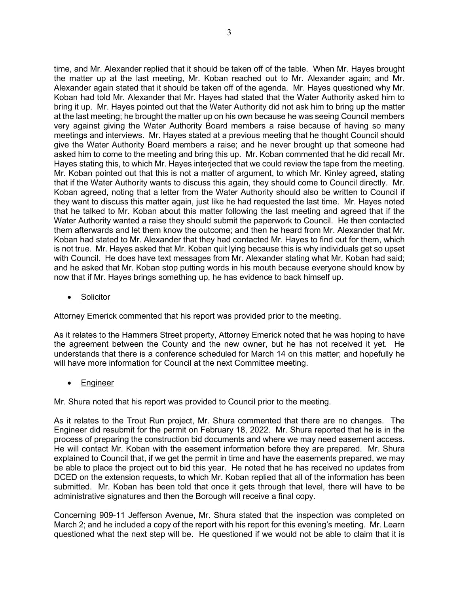time, and Mr. Alexander replied that it should be taken off of the table. When Mr. Hayes brought the matter up at the last meeting, Mr. Koban reached out to Mr. Alexander again; and Mr. Alexander again stated that it should be taken off of the agenda. Mr. Hayes questioned why Mr. Koban had told Mr. Alexander that Mr. Hayes had stated that the Water Authority asked him to bring it up. Mr. Hayes pointed out that the Water Authority did not ask him to bring up the matter at the last meeting; he brought the matter up on his own because he was seeing Council members very against giving the Water Authority Board members a raise because of having so many meetings and interviews. Mr. Hayes stated at a previous meeting that he thought Council should give the Water Authority Board members a raise; and he never brought up that someone had asked him to come to the meeting and bring this up. Mr. Koban commented that he did recall Mr. Hayes stating this, to which Mr. Hayes interjected that we could review the tape from the meeting. Mr. Koban pointed out that this is not a matter of argument, to which Mr. Kinley agreed, stating that if the Water Authority wants to discuss this again, they should come to Council directly. Mr. Koban agreed, noting that a letter from the Water Authority should also be written to Council if they want to discuss this matter again, just like he had requested the last time. Mr. Hayes noted that he talked to Mr. Koban about this matter following the last meeting and agreed that if the Water Authority wanted a raise they should submit the paperwork to Council. He then contacted them afterwards and let them know the outcome; and then he heard from Mr. Alexander that Mr. Koban had stated to Mr. Alexander that they had contacted Mr. Hayes to find out for them, which is not true. Mr. Hayes asked that Mr. Koban quit lying because this is why individuals get so upset with Council. He does have text messages from Mr. Alexander stating what Mr. Koban had said; and he asked that Mr. Koban stop putting words in his mouth because everyone should know by now that if Mr. Hayes brings something up, he has evidence to back himself up.

**Solicitor** 

Attorney Emerick commented that his report was provided prior to the meeting.

As it relates to the Hammers Street property, Attorney Emerick noted that he was hoping to have the agreement between the County and the new owner, but he has not received it yet. He understands that there is a conference scheduled for March 14 on this matter; and hopefully he will have more information for Council at the next Committee meeting.

**Engineer** 

Mr. Shura noted that his report was provided to Council prior to the meeting.

As it relates to the Trout Run project, Mr. Shura commented that there are no changes. The Engineer did resubmit for the permit on February 18, 2022. Mr. Shura reported that he is in the process of preparing the construction bid documents and where we may need easement access. He will contact Mr. Koban with the easement information before they are prepared. Mr. Shura explained to Council that, if we get the permit in time and have the easements prepared, we may be able to place the project out to bid this year. He noted that he has received no updates from DCED on the extension requests, to which Mr. Koban replied that all of the information has been submitted. Mr. Koban has been told that once it gets through that level, there will have to be administrative signatures and then the Borough will receive a final copy.

Concerning 909-11 Jefferson Avenue, Mr. Shura stated that the inspection was completed on March 2; and he included a copy of the report with his report for this evening's meeting. Mr. Learn questioned what the next step will be. He questioned if we would not be able to claim that it is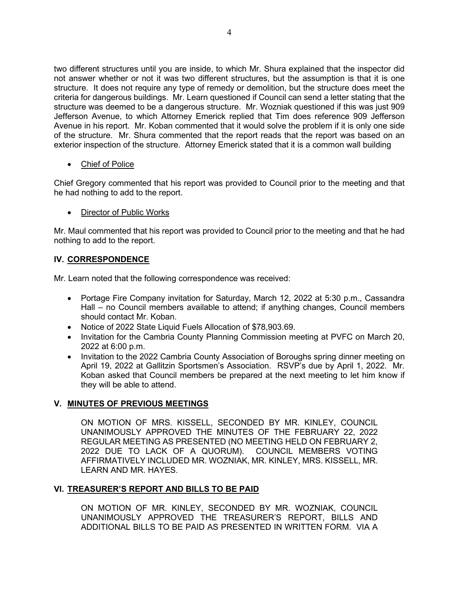two different structures until you are inside, to which Mr. Shura explained that the inspector did not answer whether or not it was two different structures, but the assumption is that it is one structure. It does not require any type of remedy or demolition, but the structure does meet the criteria for dangerous buildings. Mr. Learn questioned if Council can send a letter stating that the structure was deemed to be a dangerous structure. Mr. Wozniak questioned if this was just 909 Jefferson Avenue, to which Attorney Emerick replied that Tim does reference 909 Jefferson Avenue in his report. Mr. Koban commented that it would solve the problem if it is only one side of the structure. Mr. Shura commented that the report reads that the report was based on an exterior inspection of the structure. Attorney Emerick stated that it is a common wall building

# Chief of Police

Chief Gregory commented that his report was provided to Council prior to the meeting and that he had nothing to add to the report.

# • Director of Public Works

Mr. Maul commented that his report was provided to Council prior to the meeting and that he had nothing to add to the report.

# **IV. CORRESPONDENCE**

Mr. Learn noted that the following correspondence was received:

- Portage Fire Company invitation for Saturday, March 12, 2022 at 5:30 p.m., Cassandra Hall – no Council members available to attend; if anything changes, Council members should contact Mr. Koban.
- Notice of 2022 State Liquid Fuels Allocation of \$78,903.69.
- Invitation for the Cambria County Planning Commission meeting at PVFC on March 20, 2022 at 6:00 p.m.
- Invitation to the 2022 Cambria County Association of Boroughs spring dinner meeting on April 19, 2022 at Gallitzin Sportsmen's Association. RSVP's due by April 1, 2022. Mr. Koban asked that Council members be prepared at the next meeting to let him know if they will be able to attend.

## **V. MINUTES OF PREVIOUS MEETINGS**

ON MOTION OF MRS. KISSELL, SECONDED BY MR. KINLEY, COUNCIL UNANIMOUSLY APPROVED THE MINUTES OF THE FEBRUARY 22, 2022 REGULAR MEETING AS PRESENTED (NO MEETING HELD ON FEBRUARY 2, 2022 DUE TO LACK OF A QUORUM). COUNCIL MEMBERS VOTING AFFIRMATIVELY INCLUDED MR. WOZNIAK, MR. KINLEY, MRS. KISSELL, MR. LEARN AND MR. HAYES.

## **VI. TREASURER'S REPORT AND BILLS TO BE PAID**

ON MOTION OF MR. KINLEY, SECONDED BY MR. WOZNIAK, COUNCIL UNANIMOUSLY APPROVED THE TREASURER'S REPORT, BILLS AND ADDITIONAL BILLS TO BE PAID AS PRESENTED IN WRITTEN FORM. VIA A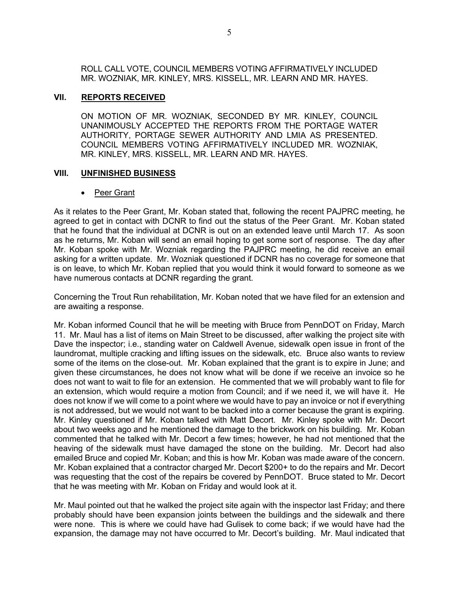ROLL CALL VOTE, COUNCIL MEMBERS VOTING AFFIRMATIVELY INCLUDED MR. WOZNIAK, MR. KINLEY, MRS. KISSELL, MR. LEARN AND MR. HAYES.

#### **VII. REPORTS RECEIVED**

ON MOTION OF MR. WOZNIAK, SECONDED BY MR. KINLEY, COUNCIL UNANIMOUSLY ACCEPTED THE REPORTS FROM THE PORTAGE WATER AUTHORITY, PORTAGE SEWER AUTHORITY AND LMIA AS PRESENTED. COUNCIL MEMBERS VOTING AFFIRMATIVELY INCLUDED MR. WOZNIAK, MR. KINLEY, MRS. KISSELL, MR. LEARN AND MR. HAYES.

#### **VIII. UNFINISHED BUSINESS**

• Peer Grant

As it relates to the Peer Grant, Mr. Koban stated that, following the recent PAJPRC meeting, he agreed to get in contact with DCNR to find out the status of the Peer Grant. Mr. Koban stated that he found that the individual at DCNR is out on an extended leave until March 17. As soon as he returns, Mr. Koban will send an email hoping to get some sort of response. The day after Mr. Koban spoke with Mr. Wozniak regarding the PAJPRC meeting, he did receive an email asking for a written update. Mr. Wozniak questioned if DCNR has no coverage for someone that is on leave, to which Mr. Koban replied that you would think it would forward to someone as we have numerous contacts at DCNR regarding the grant.

Concerning the Trout Run rehabilitation, Mr. Koban noted that we have filed for an extension and are awaiting a response.

Mr. Koban informed Council that he will be meeting with Bruce from PennDOT on Friday, March 11. Mr. Maul has a list of items on Main Street to be discussed, after walking the project site with Dave the inspector; i.e., standing water on Caldwell Avenue, sidewalk open issue in front of the laundromat, multiple cracking and lifting issues on the sidewalk, etc. Bruce also wants to review some of the items on the close-out. Mr. Koban explained that the grant is to expire in June; and given these circumstances, he does not know what will be done if we receive an invoice so he does not want to wait to file for an extension. He commented that we will probably want to file for an extension, which would require a motion from Council; and if we need it, we will have it. He does not know if we will come to a point where we would have to pay an invoice or not if everything is not addressed, but we would not want to be backed into a corner because the grant is expiring. Mr. Kinley questioned if Mr. Koban talked with Matt Decort. Mr. Kinley spoke with Mr. Decort about two weeks ago and he mentioned the damage to the brickwork on his building. Mr. Koban commented that he talked with Mr. Decort a few times; however, he had not mentioned that the heaving of the sidewalk must have damaged the stone on the building. Mr. Decort had also emailed Bruce and copied Mr. Koban; and this is how Mr. Koban was made aware of the concern. Mr. Koban explained that a contractor charged Mr. Decort \$200+ to do the repairs and Mr. Decort was requesting that the cost of the repairs be covered by PennDOT. Bruce stated to Mr. Decort that he was meeting with Mr. Koban on Friday and would look at it.

Mr. Maul pointed out that he walked the project site again with the inspector last Friday; and there probably should have been expansion joints between the buildings and the sidewalk and there were none. This is where we could have had Gulisek to come back; if we would have had the expansion, the damage may not have occurred to Mr. Decort's building. Mr. Maul indicated that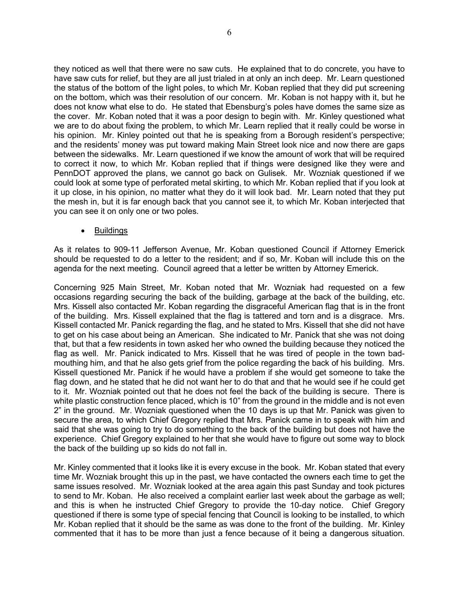they noticed as well that there were no saw cuts. He explained that to do concrete, you have to have saw cuts for relief, but they are all just trialed in at only an inch deep. Mr. Learn questioned the status of the bottom of the light poles, to which Mr. Koban replied that they did put screening on the bottom, which was their resolution of our concern. Mr. Koban is not happy with it, but he does not know what else to do. He stated that Ebensburg's poles have domes the same size as the cover. Mr. Koban noted that it was a poor design to begin with. Mr. Kinley questioned what we are to do about fixing the problem, to which Mr. Learn replied that it really could be worse in his opinion. Mr. Kinley pointed out that he is speaking from a Borough resident's perspective; and the residents' money was put toward making Main Street look nice and now there are gaps between the sidewalks. Mr. Learn questioned if we know the amount of work that will be required to correct it now, to which Mr. Koban replied that if things were designed like they were and PennDOT approved the plans, we cannot go back on Gulisek. Mr. Wozniak questioned if we could look at some type of perforated metal skirting, to which Mr. Koban replied that if you look at it up close, in his opinion, no matter what they do it will look bad. Mr. Learn noted that they put the mesh in, but it is far enough back that you cannot see it, to which Mr. Koban interjected that you can see it on only one or two poles.

• Buildings

As it relates to 909-11 Jefferson Avenue, Mr. Koban questioned Council if Attorney Emerick should be requested to do a letter to the resident; and if so, Mr. Koban will include this on the agenda for the next meeting. Council agreed that a letter be written by Attorney Emerick.

Concerning 925 Main Street, Mr. Koban noted that Mr. Wozniak had requested on a few occasions regarding securing the back of the building, garbage at the back of the building, etc. Mrs. Kissell also contacted Mr. Koban regarding the disgraceful American flag that is in the front of the building. Mrs. Kissell explained that the flag is tattered and torn and is a disgrace. Mrs. Kissell contacted Mr. Panick regarding the flag, and he stated to Mrs. Kissell that she did not have to get on his case about being an American. She indicated to Mr. Panick that she was not doing that, but that a few residents in town asked her who owned the building because they noticed the flag as well. Mr. Panick indicated to Mrs. Kissell that he was tired of people in the town badmouthing him, and that he also gets grief from the police regarding the back of his building. Mrs. Kissell questioned Mr. Panick if he would have a problem if she would get someone to take the flag down, and he stated that he did not want her to do that and that he would see if he could get to it. Mr. Wozniak pointed out that he does not feel the back of the building is secure. There is white plastic construction fence placed, which is 10" from the ground in the middle and is not even 2" in the ground. Mr. Wozniak questioned when the 10 days is up that Mr. Panick was given to secure the area, to which Chief Gregory replied that Mrs. Panick came in to speak with him and said that she was going to try to do something to the back of the building but does not have the experience. Chief Gregory explained to her that she would have to figure out some way to block the back of the building up so kids do not fall in.

Mr. Kinley commented that it looks like it is every excuse in the book. Mr. Koban stated that every time Mr. Wozniak brought this up in the past, we have contacted the owners each time to get the same issues resolved. Mr. Wozniak looked at the area again this past Sunday and took pictures to send to Mr. Koban. He also received a complaint earlier last week about the garbage as well; and this is when he instructed Chief Gregory to provide the 10-day notice. Chief Gregory questioned if there is some type of special fencing that Council is looking to be installed, to which Mr. Koban replied that it should be the same as was done to the front of the building. Mr. Kinley commented that it has to be more than just a fence because of it being a dangerous situation.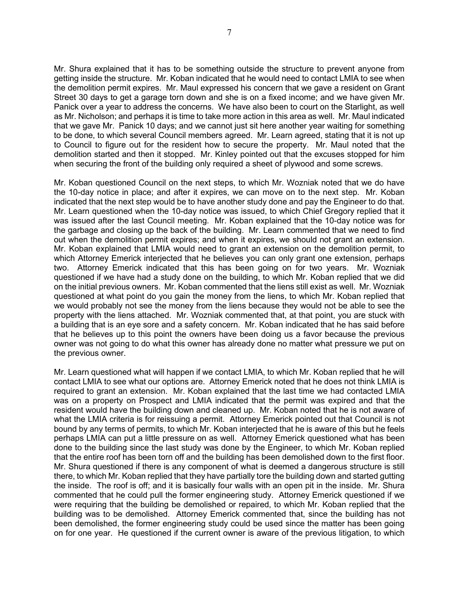Mr. Shura explained that it has to be something outside the structure to prevent anyone from getting inside the structure. Mr. Koban indicated that he would need to contact LMIA to see when the demolition permit expires. Mr. Maul expressed his concern that we gave a resident on Grant Street 30 days to get a garage torn down and she is on a fixed income; and we have given Mr. Panick over a year to address the concerns. We have also been to court on the Starlight, as well as Mr. Nicholson; and perhaps it is time to take more action in this area as well. Mr. Maul indicated that we gave Mr. Panick 10 days; and we cannot just sit here another year waiting for something to be done, to which several Council members agreed. Mr. Learn agreed, stating that it is not up to Council to figure out for the resident how to secure the property. Mr. Maul noted that the demolition started and then it stopped. Mr. Kinley pointed out that the excuses stopped for him when securing the front of the building only required a sheet of plywood and some screws.

Mr. Koban questioned Council on the next steps, to which Mr. Wozniak noted that we do have the 10-day notice in place; and after it expires, we can move on to the next step. Mr. Koban indicated that the next step would be to have another study done and pay the Engineer to do that. Mr. Learn questioned when the 10-day notice was issued, to which Chief Gregory replied that it was issued after the last Council meeting. Mr. Koban explained that the 10-day notice was for the garbage and closing up the back of the building. Mr. Learn commented that we need to find out when the demolition permit expires; and when it expires, we should not grant an extension. Mr. Koban explained that LMIA would need to grant an extension on the demolition permit, to which Attorney Emerick interjected that he believes you can only grant one extension, perhaps two. Attorney Emerick indicated that this has been going on for two years. Mr. Wozniak questioned if we have had a study done on the building, to which Mr. Koban replied that we did on the initial previous owners. Mr. Koban commented that the liens still exist as well. Mr. Wozniak questioned at what point do you gain the money from the liens, to which Mr. Koban replied that we would probably not see the money from the liens because they would not be able to see the property with the liens attached. Mr. Wozniak commented that, at that point, you are stuck with a building that is an eye sore and a safety concern. Mr. Koban indicated that he has said before that he believes up to this point the owners have been doing us a favor because the previous owner was not going to do what this owner has already done no matter what pressure we put on the previous owner.

Mr. Learn questioned what will happen if we contact LMIA, to which Mr. Koban replied that he will contact LMIA to see what our options are. Attorney Emerick noted that he does not think LMIA is required to grant an extension. Mr. Koban explained that the last time we had contacted LMIA was on a property on Prospect and LMIA indicated that the permit was expired and that the resident would have the building down and cleaned up. Mr. Koban noted that he is not aware of what the LMIA criteria is for reissuing a permit. Attorney Emerick pointed out that Council is not bound by any terms of permits, to which Mr. Koban interjected that he is aware of this but he feels perhaps LMIA can put a little pressure on as well. Attorney Emerick questioned what has been done to the building since the last study was done by the Engineer, to which Mr. Koban replied that the entire roof has been torn off and the building has been demolished down to the first floor. Mr. Shura questioned if there is any component of what is deemed a dangerous structure is still there, to which Mr. Koban replied that they have partially tore the building down and started gutting the inside. The roof is off; and it is basically four walls with an open pit in the inside. Mr. Shura commented that he could pull the former engineering study. Attorney Emerick questioned if we were requiring that the building be demolished or repaired, to which Mr. Koban replied that the building was to be demolished. Attorney Emerick commented that, since the building has not been demolished, the former engineering study could be used since the matter has been going on for one year. He questioned if the current owner is aware of the previous litigation, to which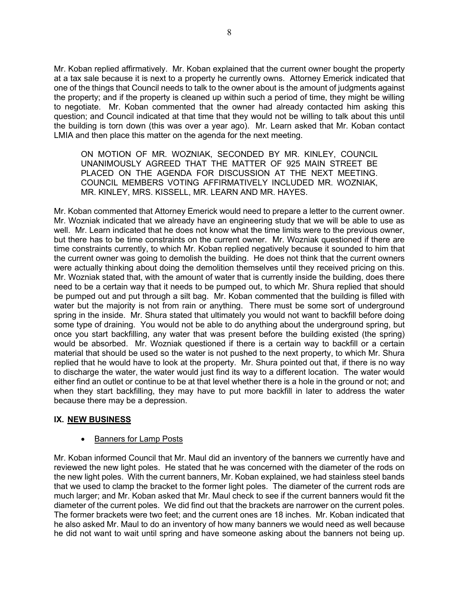Mr. Koban replied affirmatively. Mr. Koban explained that the current owner bought the property at a tax sale because it is next to a property he currently owns. Attorney Emerick indicated that one of the things that Council needs to talk to the owner about is the amount of judgments against the property; and if the property is cleaned up within such a period of time, they might be willing to negotiate. Mr. Koban commented that the owner had already contacted him asking this question; and Council indicated at that time that they would not be willing to talk about this until the building is torn down (this was over a year ago). Mr. Learn asked that Mr. Koban contact LMIA and then place this matter on the agenda for the next meeting.

ON MOTION OF MR. WOZNIAK, SECONDED BY MR. KINLEY, COUNCIL UNANIMOUSLY AGREED THAT THE MATTER OF 925 MAIN STREET BE PLACED ON THE AGENDA FOR DISCUSSION AT THE NEXT MEETING. COUNCIL MEMBERS VOTING AFFIRMATIVELY INCLUDED MR. WOZNIAK, MR. KINLEY, MRS. KISSELL, MR. LEARN AND MR. HAYES.

Mr. Koban commented that Attorney Emerick would need to prepare a letter to the current owner. Mr. Wozniak indicated that we already have an engineering study that we will be able to use as well. Mr. Learn indicated that he does not know what the time limits were to the previous owner, but there has to be time constraints on the current owner. Mr. Wozniak questioned if there are time constraints currently, to which Mr. Koban replied negatively because it sounded to him that the current owner was going to demolish the building. He does not think that the current owners were actually thinking about doing the demolition themselves until they received pricing on this. Mr. Wozniak stated that, with the amount of water that is currently inside the building, does there need to be a certain way that it needs to be pumped out, to which Mr. Shura replied that should be pumped out and put through a silt bag. Mr. Koban commented that the building is filled with water but the majority is not from rain or anything. There must be some sort of underground spring in the inside. Mr. Shura stated that ultimately you would not want to backfill before doing some type of draining. You would not be able to do anything about the underground spring, but once you start backfilling, any water that was present before the building existed (the spring) would be absorbed. Mr. Wozniak questioned if there is a certain way to backfill or a certain material that should be used so the water is not pushed to the next property, to which Mr. Shura replied that he would have to look at the property. Mr. Shura pointed out that, if there is no way to discharge the water, the water would just find its way to a different location. The water would either find an outlet or continue to be at that level whether there is a hole in the ground or not; and when they start backfilling, they may have to put more backfill in later to address the water because there may be a depression.

## **IX. NEW BUSINESS**

## • Banners for Lamp Posts

Mr. Koban informed Council that Mr. Maul did an inventory of the banners we currently have and reviewed the new light poles. He stated that he was concerned with the diameter of the rods on the new light poles. With the current banners, Mr. Koban explained, we had stainless steel bands that we used to clamp the bracket to the former light poles. The diameter of the current rods are much larger; and Mr. Koban asked that Mr. Maul check to see if the current banners would fit the diameter of the current poles. We did find out that the brackets are narrower on the current poles. The former brackets were two feet; and the current ones are 18 inches. Mr. Koban indicated that he also asked Mr. Maul to do an inventory of how many banners we would need as well because he did not want to wait until spring and have someone asking about the banners not being up.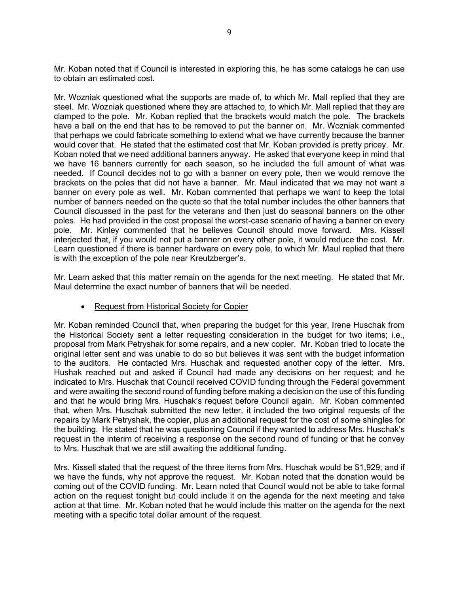Mr. Koban noted that if Council is interested in exploring this, he has some catalogs he can use to obtain an estimated cost.

Mr. Wozniak questioned what the supports are made of, to which Mr. Mall replied that they are steel. Mr. Wozniak questioned where they are attached to, to which Mr. Mall replied that they are clamped to the pole. Mr. Koban replied that the brackets would match the pole. The brackets have a ball on the end that has to be removed to put the banner on. Mr. Wozniak commented that perhaps we could fabricate something to extend what we have currently because the banner would cover that. He stated that the estimated cost that Mr. Koban provided is pretty pricey. Mr. Koban noted that we need additional banners anyway. He asked that everyone keep in mind that we have 16 banners currently for each season, so he included the full amount of what was needed. If Council decides not to go with a banner on every pole, then we would remove the brackets on the poles that did not have a banner. Mr. Maul indicated that we may not want a banner on every pole as well. Mr. Koban commented that perhaps we want to keep the total number of banners needed on the quote so that the total number includes the other banners that Council discussed in the past for the veterans and then just do seasonal banners on the other poles. He had provided in the cost proposal the worst-case scenario of having a banner on every pole. Mr. Kinley commented that he believes Council should move forward. Mrs. Kissell interjected that, if you would not put a banner on every other pole, it would reduce the cost. Mr. Learn questioned if there is banner hardware on every pole, to which Mr. Maul replied that there is with the exception of the pole near Kreutzberger's.

Mr. Learn asked that this matter remain on the agenda for the next meeting. He stated that Mr. Maul determine the exact number of banners that will be needed.

## • Request from Historical Society for Copier

Mr. Koban reminded Council that, when preparing the budget for this year, Irene Huschak from the Historical Society sent a letter requesting consideration in the budget for two items; i.e., proposal from Mark Petryshak for some repairs, and a new copier. Mr. Koban tried to locate the original letter sent and was unable to do so but believes it was sent with the budget information to the auditors. He contacted Mrs. Huschak and requested another copy of the letter. Mrs. Hushak reached out and asked if Council had made any decisions on her request; and he indicated to Mrs. Huschak that Council received COVID funding through the Federal government and were awaiting the second round of funding before making a decision on the use of this funding and that he would bring Mrs. Huschak's request before Council again. Mr. Koban commented that, when Mrs. Huschak submitted the new letter, it included the two original requests of the repairs by Mark Petryshak, the copier, plus an additional request for the cost of some shingles for the building. He stated that he was questioning Council if they wanted to address Mrs. Huschak's request in the interim of receiving a response on the second round of funding or that he convey to Mrs. Huschak that we are still awaiting the additional funding.

Mrs. Kissell stated that the request of the three items from Mrs. Huschak would be \$1,929; and if we have the funds, why not approve the request. Mr. Koban noted that the donation would be coming out of the COVID funding. Mr. Learn noted that Council would not be able to take formal action on the request tonight but could include it on the agenda for the next meeting and take action at that time. Mr. Koban noted that he would include this matter on the agenda for the next meeting with a specific total dollar amount of the request.